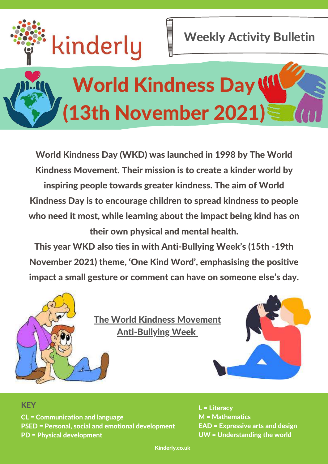

Weekly Activity Bulletin

# World Kindness Day W (13th November 2021)

World Kindness Day (WKD) was launched in 1998 by The World Kindness Movement. Their mission is to create a kinder world by inspiring people towards greater kindness. The aim of World Kindness Day is to encourage children to spread kindness to people who need it most, while learning about the impact being kind has on their own physical and mental health.

This year WKD also ties in with Anti-Bullying Week's (15th -19th November 2021) theme, 'One Kind Word' , emphasising the positive impact a small gesture or comment can have on someone else's day.



The World Kindness [Movement](https://www.theworldkindnessmovement.org/) [Anti-Bullying](https://anti-bullyingalliance.org.uk/anti-bullying-week) Week



#### **KEY**

CL = Communication and language PSED = Personal, social and emotional development PD = Physical development

L = Literacy M = Mathematics EAD = Expressive arts and design UW = Understanding the world

Kinderly.co.uk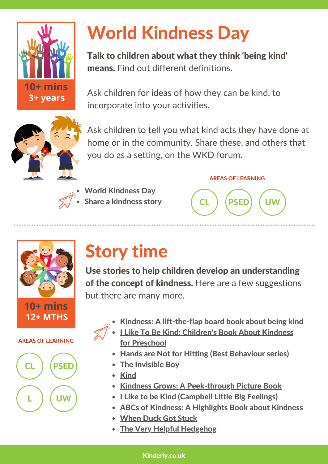

# World Kindness Day

Talk to children about what they think 'being kind' means. Find out different definitions.

Ask children for ideas of how they can be kind, to incorporate into your activities.



Ask children to tell you what kind acts they have done at home or in the community. Share these, and others that you do as a setting, on the WKD forum.



World [Kindness](https://schoolofkindness.org/resources-for-schools/world-kindness-day-2021?gclid=Cj0KCQjw8eOLBhC1ARIsAOzx5cFOtTeSiKkeSpmOBvx-6t0glSw9eLFjC2dl1SMsj7GtbOCpU9ZEHK4aAmckEALw_wcB) Day Share a [kindness](https://internationalkindnessday.org/en/) story

#### AREAS OF LEARNING





#### AREAS OF LEARNING



### Story time

Use stories to help children develop an understanding of the concept of kindness. Here are a few suggestions but there are many more.

- Kindness: A [lift-the-flap](https://www.amazon.co.uk/Kindness-Find-About-Pat-Cake/dp/1526382237/ref=cm_cr_arp_d_product_top?ie=UTF8) board book about being kind
- I Like To Be Kind: [Children's](https://www.amazon.co.uk/Like-Be-Kind-Childrens-Preschool/dp/B08XL9QL14/ref=tmm_pap_swatch_0?_encoding=UTF8&qid=1635329254&sr=8-11) Book About Kindness for Preschool
	- Hands are Not for Hitting (Best [Behaviour](https://www.amazon.co.uk/Hands-are-Hitting-Best-Behavior/dp/157542200X/ref=tmm_hrd_swatch_0?_encoding=UTF8&qid=1635329254&sr=8-14) series)
	- The [Invisible](https://www.amazon.co.uk/Invisible-Boy-Trudy-Ludwig/dp/1582464502/ref=tmm_hrd_swatch_0?_encoding=UTF8&qid=&sr=) Boy
	- [Kind](https://www.amazon.co.uk/Kind-Alison-Green/dp/1407194569/ref=tmm_hrd_swatch_0?_encoding=UTF8&qid=1635329254&sr=8-19)
	- Kindness Grows: A [Peek-through](https://www.amazon.co.uk/Kindness-Grows-Peek-through-Picture-Teckentrup/dp/1838910387/ref=tmm_pap_swatch_0?_encoding=UTF8&qid=1635329254&sr=8-20) Picture Book
	- Like to be Kind [\(Campbell](https://www.amazon.co.uk/Like-Kind-Little-Big-Feelings/dp/1529023378/ref=cm_cr_arp_d_product_top?ie=UTF8) Little Big Feelings)
	- ABCs of Kindness: A [Highlights](https://www.amazon.co.uk/ABCs-Kindness-Highlights-Books/dp/1684376513/ref=cm_cr_arp_d_product_top?ie=UTF8) Book about Kindness
	- [When](https://www.amazon.co.uk/When-Duck-Stuck-Joanna-Watts/dp/0645238503/ref=tmm_pap_swatch_0?_encoding=UTF8&qid=&sr=) Duck Got Stuck
	- The Very Helpful [Hedgehog](https://www.amazon.co.uk/Very-Helpful-Hedgehog-Rosie-Wellesley/dp/184365198X/ref=tmm_pap_swatch_0?_encoding=UTF8&qid=&sr=)

#### Kinderly.co.uk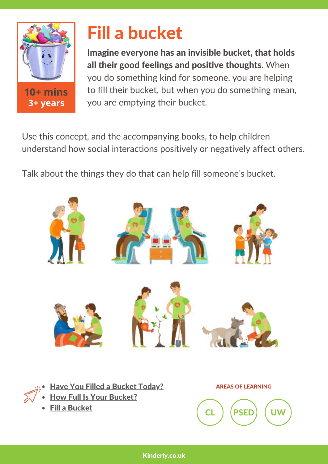

### Fill a bucket

Imagine everyone has an invisible bucket, that holds all their good feelings and positive thoughts. When you do something kind for someone, you are helping to fill their bucket, but when you do something mean, you are emptying their bucket.

Use this concept, and the accompanying books, to help children understand how social interactions positively or negatively affect others.

Talk about the things they do that can help fill someone's bucket.



- Have You Filled a Bucket [Today?](https://www.amazon.co.uk/Filled-Bucket-Today-Bucketfilling-Books/dp/099609993X/ref=tmm_pap_swatch_0?_encoding=UTF8&qid=1635329254&sr=8-21)
- **How Full Is Your [Bucket?](https://www.amazon.co.uk/How-Full-Your-Bucket-Kids/dp/1595620273/ref=tmm_hrd_swatch_0?_encoding=UTF8&qid=&sr=)**
- Fill a [Bucket](https://www.amazon.co.uk/Fill-Bucket-Guide-Happiness-Children/dp/0996099972/ref=tmm_pap_swatch_0?_encoding=UTF8&qid=&sr=)

AREAS OF LEARNING

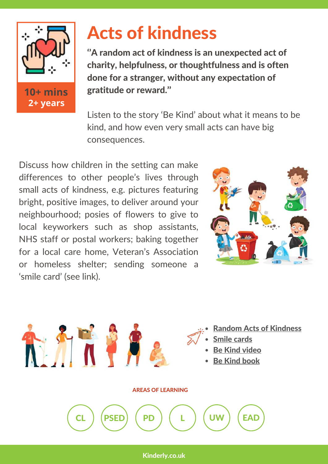

### Acts of kindness

''A random act of kindness is an unexpected act of charity, helpfulness, or thoughtfulness and is often done for a stranger, without any expectation of gratitude or reward.''

Listen to the story 'Be Kind' about what it means to be kind, and how even very small acts can have big consequences.

Discuss how children in the setting can make differences to other people's lives through small acts of kindness, e.g. pictures featuring bright, positive images, to deliver around your neighbourhood; posies of flowers to give to local keyworkers such as shop assistants, NHS staff or postal workers; baking together for a local care home, Veteran's Association or homeless shelter; sending someone a 'smile card' (see link).



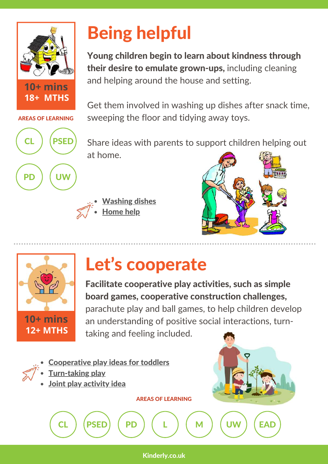

AREAS OF LEARNING

CL RSEE

PD ) ( UW

# Being helpful

Young children begin to learn about kindness through their desire to emulate grown-ups, including cleaning and helping around the house and setting.

Get them involved in washing up dishes after snack time, sweeping the floor and tidying away toys.

Share ideas with parents to support children helping out at home.

[Washing](https://www.raisingdragons.com/washing-dishes-toddler-activity/) dishes [Home](https://www.tinies.com/our-favourites/getting-children-to-help-around-the-house.html) help





# Let's cooperate

Facilitate cooperative play activities, such as simple board games, cooperative construction challenges, parachute play and ball games, to help children develop an understanding of positive social interactions, turntaking and feeling included.

- [Cooperative](https://www.bestbeginningsalaska.org/wp-content/uploads/ela_cooperativeplay.pdf) play ideas for toddlers
- [Turn-taking](https://www.bbc.co.uk/tiny-happy-people/my-turn-your-turn/z7jnhbk) play
- Joint play [activity](https://www.toddlerapproved.com/2013/09/knocking-down-cup-towers-baby-playtime.html) idea

AREAS OF LEARNING

Kinderly.co.uk

CL ) (PSED) ( PD ) ( L ) ( M ) ( UW ) (EAD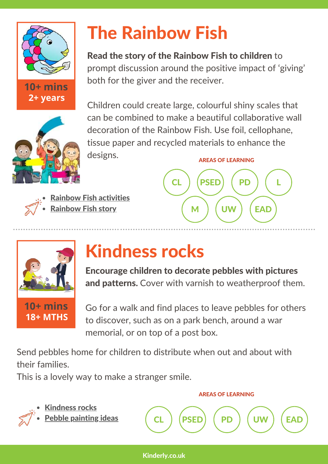

**10+ mins**

**2+ years**



# The Rainbow Fish

Read the story of the Rainbow Fish to children to prompt discussion around the positive impact of 'giving'

both for the giver and the receiver.

Children could create large, colourful shiny scales that can be combined to make a beautiful collaborative wall decoration of the Rainbow Fish. Use foil, cellophane, tissue paper and recycled materials to enhance the designs. AREAS OF LEARNING





### Kindness rocks

Encourage children to decorate pebbles with pictures and patterns. Cover with varnish to weatherproof them.

Go for a walk and find places to leave pebbles for others to discover, such as on a park bench, around a war memorial, or on top of a post box.

Send pebbles home for children to distribute when out and about with their families.

This is a lovely way to make a stranger smile.

Rainbow Fish [activities](https://www.mystorytimecorner.com/lesson-sharing-the-rainbow-fish/)

[Rainbow](https://www.amazon.co.uk/Rainbow-Fish-Marcus-Pfister/dp/3314015445/ref=tmm_pap_swatch_0?_encoding=UTF8&qid=1635329315&sr=8-32) Fish story

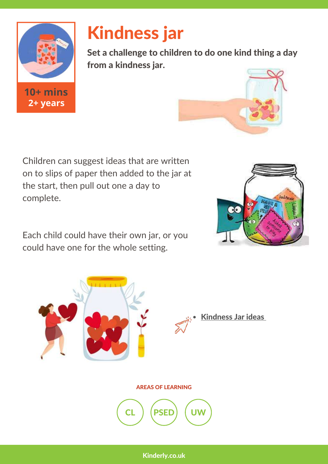

## Kindness jar

Set a challenge to children to do one kind thing a day from a kindness jar.



Children can suggest ideas that are written on to slips of paper then added to the jar at the start, then pull out one a day to complete.

Each child could have their own jar, or you could have one for the whole setting.